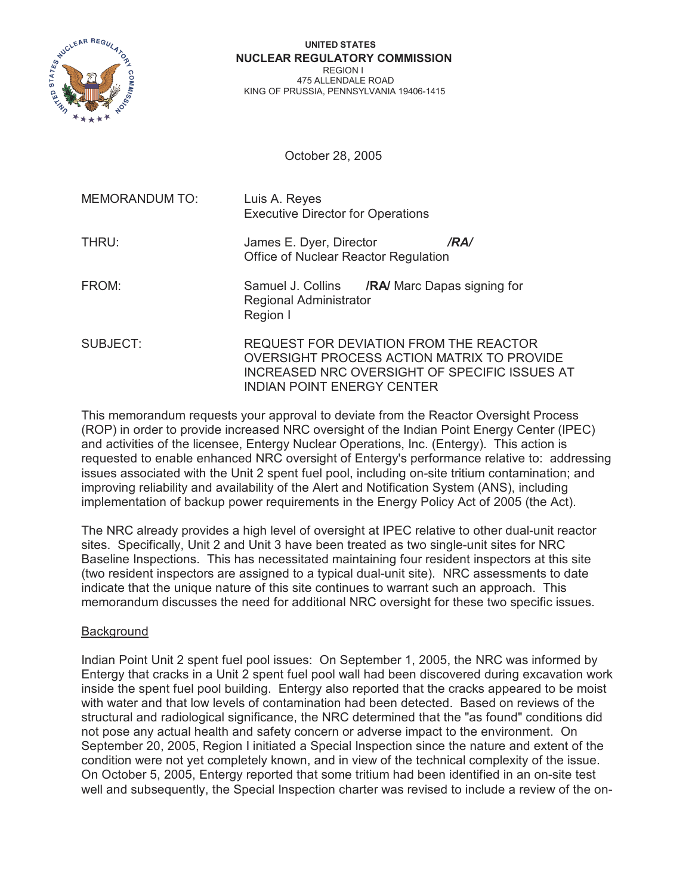

#### **UNITED STATES NUCLEAR REGULATORY COMMISSION** REGION I 475 ALLENDALE ROAD KING OF PRUSSIA, PENNSYLVANIA 19406-1415

October 28, 2005

| <b>MEMORANDUM TO:</b> | Luis A. Reyes<br><b>Executive Director for Operations</b>                                                                                                                  |
|-----------------------|----------------------------------------------------------------------------------------------------------------------------------------------------------------------------|
| THRU:                 | James E. Dyer, Director<br>/RA/<br>Office of Nuclear Reactor Regulation                                                                                                    |
| FROM:                 | Samuel J. Collins / <b>RA/</b> Marc Dapas signing for<br>Regional Administrator<br>Region I                                                                                |
| SUBJECT:              | REQUEST FOR DEVIATION FROM THE REACTOR<br>OVERSIGHT PROCESS ACTION MATRIX TO PROVIDE<br>INCREASED NRC OVERSIGHT OF SPECIFIC ISSUES AT<br><b>INDIAN POINT ENERGY CENTER</b> |

This memorandum requests your approval to deviate from the Reactor Oversight Process (ROP) in order to provide increased NRC oversight of the Indian Point Energy Center (IPEC) and activities of the licensee, Entergy Nuclear Operations, Inc. (Entergy). This action is requested to enable enhanced NRC oversight of Entergy's performance relative to: addressing issues associated with the Unit 2 spent fuel pool, including on-site tritium contamination; and improving reliability and availability of the Alert and Notification System (ANS), including implementation of backup power requirements in the Energy Policy Act of 2005 (the Act).

The NRC already provides a high level of oversight at IPEC relative to other dual-unit reactor sites. Specifically, Unit 2 and Unit 3 have been treated as two single-unit sites for NRC Baseline Inspections. This has necessitated maintaining four resident inspectors at this site (two resident inspectors are assigned to a typical dual-unit site). NRC assessments to date indicate that the unique nature of this site continues to warrant such an approach. This memorandum discusses the need for additional NRC oversight for these two specific issues.

# Background

Indian Point Unit 2 spent fuel pool issues: On September 1, 2005, the NRC was informed by Entergy that cracks in a Unit 2 spent fuel pool wall had been discovered during excavation work inside the spent fuel pool building. Entergy also reported that the cracks appeared to be moist with water and that low levels of contamination had been detected. Based on reviews of the structural and radiological significance, the NRC determined that the "as found" conditions did not pose any actual health and safety concern or adverse impact to the environment. On September 20, 2005, Region I initiated a Special Inspection since the nature and extent of the condition were not yet completely known, and in view of the technical complexity of the issue. On October 5, 2005, Entergy reported that some tritium had been identified in an on-site test well and subsequently, the Special Inspection charter was revised to include a review of the on-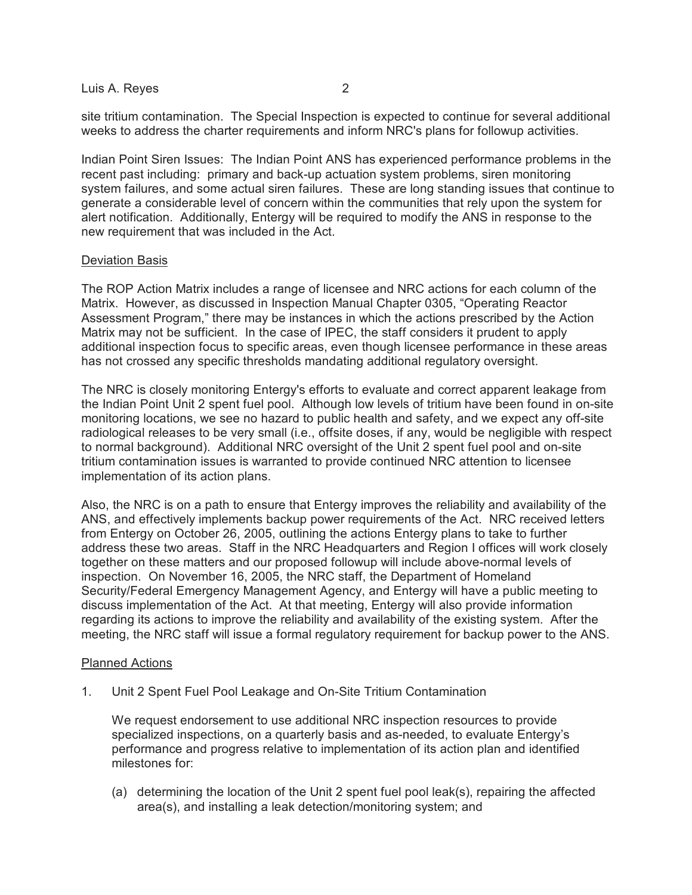# Luis A. Reves 2

site tritium contamination. The Special Inspection is expected to continue for several additional weeks to address the charter requirements and inform NRC's plans for followup activities.

Indian Point Siren Issues: The Indian Point ANS has experienced performance problems in the recent past including: primary and back-up actuation system problems, siren monitoring system failures, and some actual siren failures. These are long standing issues that continue to generate a considerable level of concern within the communities that rely upon the system for alert notification. Additionally, Entergy will be required to modify the ANS in response to the new requirement that was included in the Act.

# Deviation Basis

The ROP Action Matrix includes a range of licensee and NRC actions for each column of the Matrix. However, as discussed in Inspection Manual Chapter 0305, "Operating Reactor Assessment Program," there may be instances in which the actions prescribed by the Action Matrix may not be sufficient. In the case of IPEC, the staff considers it prudent to apply additional inspection focus to specific areas, even though licensee performance in these areas has not crossed any specific thresholds mandating additional regulatory oversight.

The NRC is closely monitoring Entergy's efforts to evaluate and correct apparent leakage from the Indian Point Unit 2 spent fuel pool. Although low levels of tritium have been found in on-site monitoring locations, we see no hazard to public health and safety, and we expect any off-site radiological releases to be very small (i.e., offsite doses, if any, would be negligible with respect to normal background). Additional NRC oversight of the Unit 2 spent fuel pool and on-site tritium contamination issues is warranted to provide continued NRC attention to licensee implementation of its action plans.

Also, the NRC is on a path to ensure that Entergy improves the reliability and availability of the ANS, and effectively implements backup power requirements of the Act. NRC received letters from Entergy on October 26, 2005, outlining the actions Entergy plans to take to further address these two areas. Staff in the NRC Headquarters and Region I offices will work closely together on these matters and our proposed followup will include above-normal levels of inspection. On November 16, 2005, the NRC staff, the Department of Homeland Security/Federal Emergency Management Agency, and Entergy will have a public meeting to discuss implementation of the Act. At that meeting, Entergy will also provide information regarding its actions to improve the reliability and availability of the existing system. After the meeting, the NRC staff will issue a formal regulatory requirement for backup power to the ANS.

# Planned Actions

1. Unit 2 Spent Fuel Pool Leakage and On-Site Tritium Contamination

We request endorsement to use additional NRC inspection resources to provide specialized inspections, on a quarterly basis and as-needed, to evaluate Entergy's performance and progress relative to implementation of its action plan and identified milestones for:

(a) determining the location of the Unit 2 spent fuel pool leak(s), repairing the affected area(s), and installing a leak detection/monitoring system; and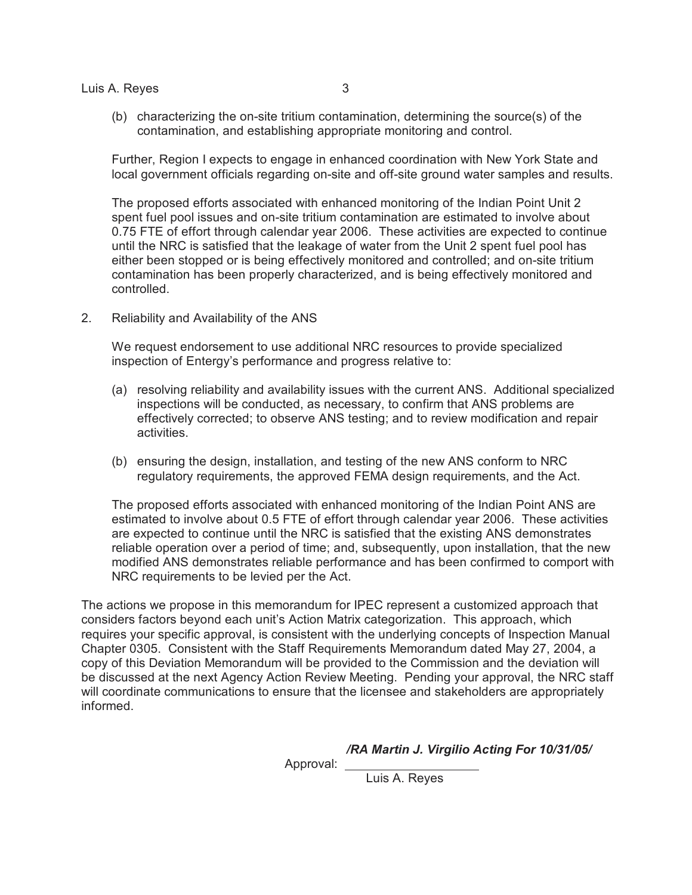Luis A. Reves 3

(b) characterizing the on-site tritium contamination, determining the source(s) of the contamination, and establishing appropriate monitoring and control.

Further, Region I expects to engage in enhanced coordination with New York State and local government officials regarding on-site and off-site ground water samples and results.

The proposed efforts associated with enhanced monitoring of the Indian Point Unit 2 spent fuel pool issues and on-site tritium contamination are estimated to involve about 0.75 FTE of effort through calendar year 2006. These activities are expected to continue until the NRC is satisfied that the leakage of water from the Unit 2 spent fuel pool has either been stopped or is being effectively monitored and controlled; and on-site tritium contamination has been properly characterized, and is being effectively monitored and controlled.

2. Reliability and Availability of the ANS

We request endorsement to use additional NRC resources to provide specialized inspection of Entergy's performance and progress relative to:

- (a) resolving reliability and availability issues with the current ANS. Additional specialized inspections will be conducted, as necessary, to confirm that ANS problems are effectively corrected; to observe ANS testing; and to review modification and repair activities.
- (b) ensuring the design, installation, and testing of the new ANS conform to NRC regulatory requirements, the approved FEMA design requirements, and the Act.

The proposed efforts associated with enhanced monitoring of the Indian Point ANS are estimated to involve about 0.5 FTE of effort through calendar year 2006. These activities are expected to continue until the NRC is satisfied that the existing ANS demonstrates reliable operation over a period of time; and, subsequently, upon installation, that the new modified ANS demonstrates reliable performance and has been confirmed to comport with NRC requirements to be levied per the Act.

The actions we propose in this memorandum for IPEC represent a customized approach that considers factors beyond each unit's Action Matrix categorization. This approach, which requires your specific approval, is consistent with the underlying concepts of Inspection Manual Chapter 0305. Consistent with the Staff Requirements Memorandum dated May 27, 2004, a copy of this Deviation Memorandum will be provided to the Commission and the deviation will be discussed at the next Agency Action Review Meeting. Pending your approval, the NRC staff will coordinate communications to ensure that the licensee and stakeholders are appropriately informed.

*/RA Martin J. Virgilio Acting For 10/31/05/*

Approval:

Luis A. Reyes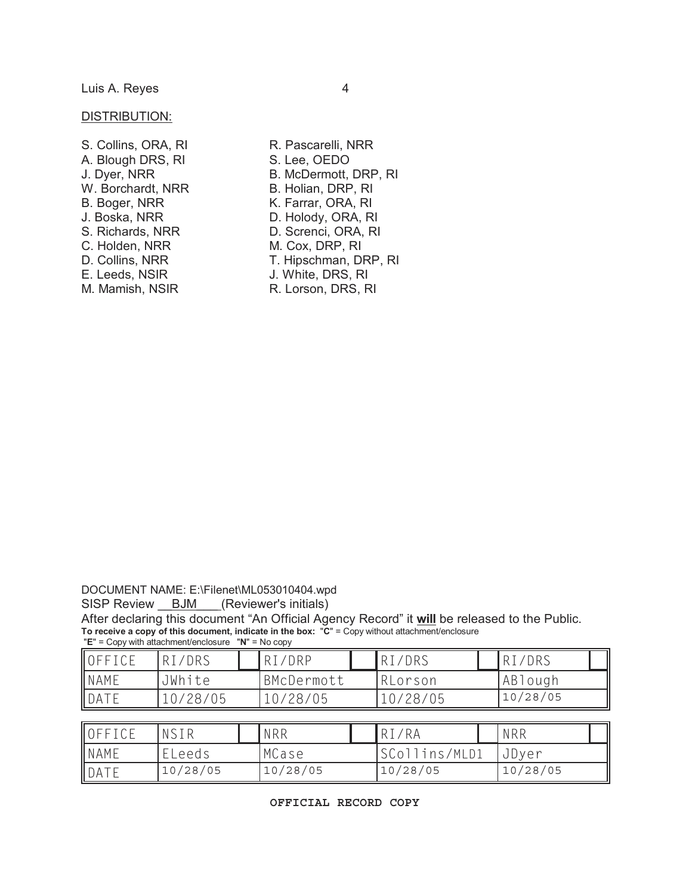#### DISTRIBUTION:

| S. Collins, ORA, RI |
|---------------------|
| A. Blough DRS, RI   |
| J. Dyer, NRR        |
| W. Borchardt, NRR   |
| B. Boger, NRR       |
| J. Boska, NRR       |
| S. Richards, NRR    |
| C. Holden, NRR      |
| D. Collins, NRR     |
| E. Leeds, NSIR      |
| M. Mamish, NSIR     |

R. Pascarelli, NRR S. Lee, OEDO B. McDermott, DRP, RI B. Holian, DRP, RI K. Farrar, ORA, RI D. Holody, ORA, RI D. Screnci, ORA, RI M. Cox, DRP, RI T. Hipschman, DRP, RI J. White, DRS, RI R. Lorson, DRS, RI

DOCUMENT NAME: E:\Filenet\ML053010404.wpd

SISP Review \_\_ BJM \_\_ (Reviewer's initials)

After declaring this document "An Official Agency Record" it **will** be released to the Public. **To receive a copy of this document, indicate in the box:** "**C**" = Copy without attachment/enclosure "**E**" = Copy with attachment/enclosure "**N**" = No copy

| OFFICE      | RI/DRS   | RT/DRP     | RI/DRS   | 'DRS<br>RI/ |  |
|-------------|----------|------------|----------|-------------|--|
| <b>NAME</b> | JWhite   | BMcDermott | RLorson  | ABlough     |  |
| DATE        | 10/28/05 | 0/28/05    | 10/28/05 | 10/28/05    |  |

| OFFICE      | NSIR     | <b>NRR</b> | RI/RA         | NRR      |  |
|-------------|----------|------------|---------------|----------|--|
| <b>NAME</b> | ELeeds   | MCase      | SCollins/MLD1 | JDyer    |  |
| DATE        | 10/28/05 | 10/28/05   | 10/28/05      | 10/28/05 |  |